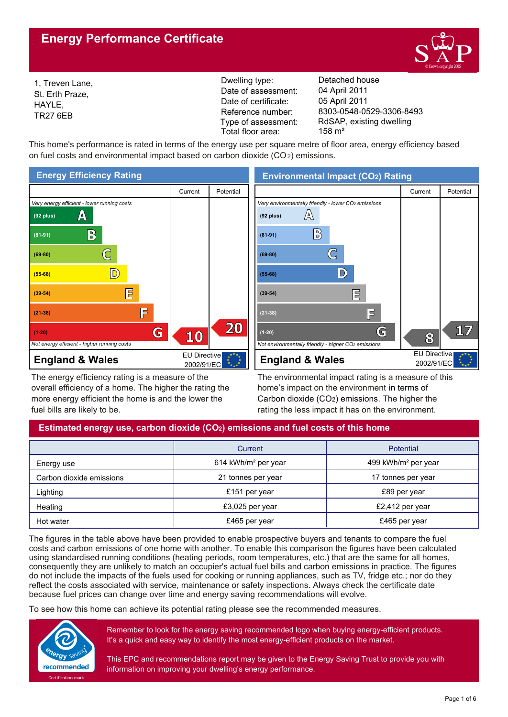# **Energy Performance Certificate**



1, Treven Lane, St. Erth Praze, HAYLE, TR27 6EB

Reference number: Dwelling type: Detached house Date of certificate: Date of assessment: Type of assessment: Total floor area: 158 m<sup>2</sup>

8303-0548-0529-3306-8493 05 April 2011 04 April 2011 RdSAP, existing dwelling

This home's performance is rated in terms of the energy use per square metre of floor area, energy efficiency based on fuel costs and environmental impact based on carbon dioxide (CO2) emissions.



The energy efficiency rating is a measure of the overall efficiency of a home. The higher the rating the more energy efficient the home is and the lower the fuel bills are likely to be.

**Environmental Impact (CO2) Rating**



The environmental impact rating is a measure of this home's impact on the environment in terms of Carbon dioxide (CO2) emissions. The higher the rating the less impact it has on the environment.

# **Estimated energy use, carbon dioxide (CO2) emissions and fuel costs of this home**

|                          | Current                         | Potential                       |
|--------------------------|---------------------------------|---------------------------------|
| Energy use               | 614 kWh/m <sup>2</sup> per year | 499 kWh/m <sup>2</sup> per year |
| Carbon dioxide emissions | 21 tonnes per year              | 17 tonnes per year              |
| Lighting                 | £151 per year                   | £89 per year                    |
| Heating                  | £3,025 per year                 | £2,412 per year                 |
| Hot water                | £465 per year                   | £465 per year                   |

The figures in the table above have been provided to enable prospective buyers and tenants to compare the fuel costs and carbon emissions of one home with another. To enable this comparison the figures have been calculated using standardised running conditions (heating periods, room temperatures, etc.) that are the same for all homes, consequently they are unlikely to match an occupier's actual fuel bills and carbon emissions in practice. The figures do not include the impacts of the fuels used for cooking or running appliances, such as TV, fridge etc.; nor do they reflect the costs associated with service, maintenance or safety inspections. Always check the certificate date because fuel prices can change over time and energy saving recommendations will evolve.

To see how this home can achieve its potential rating please see the recommended measures.



Remember to look for the energy saving recommended logo when buying energy-efficient products. It's a quick and easy way to identify the most energy-efficient products on the market.

This EPC and recommendations report may be given to the Energy Saving Trust to provide you with information on improving your dwelling's energy performance.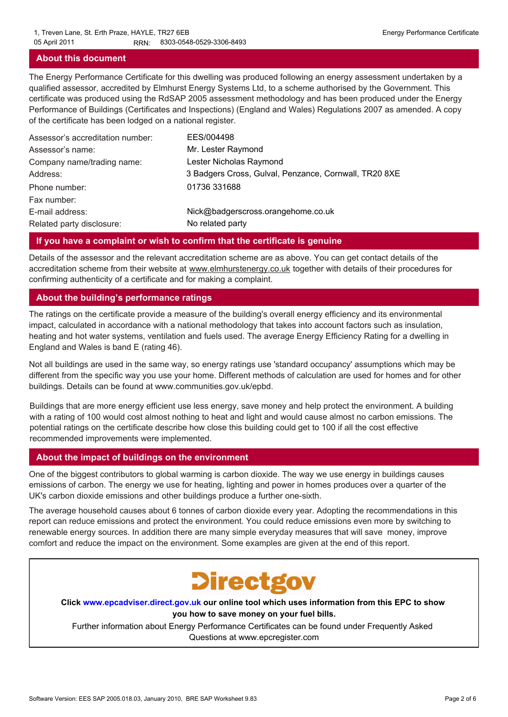# **About this document**

The Energy Performance Certificate for this dwelling was produced following an energy assessment undertaken by a qualified assessor, accredited by Elmhurst Energy Systems Ltd, to a scheme authorised by the Government. This certificate was produced using the RdSAP 2005 assessment methodology and has been produced under the Energy Performance of Buildings (Certificates and Inspections) (England and Wales) Regulations 2007 as amended. A copy of the certificate has been lodged on a national register.

| Assessor's accreditation number: | EES/004498                                            |
|----------------------------------|-------------------------------------------------------|
| Assessor's name:                 | Mr. Lester Raymond                                    |
| Company name/trading name:       | Lester Nicholas Raymond                               |
| Address:                         | 3 Badgers Cross, Gulval, Penzance, Cornwall, TR20 8XE |
| Phone number:                    | 01736 331688                                          |
| Fax number:                      |                                                       |
| E-mail address:                  | Nick@badgerscross.orangehome.co.uk                    |
| Related party disclosure:        | No related party                                      |

## **If you have a complaint or wish to confirm that the certificate is genuine**

Details of the assessor and the relevant accreditation scheme are as above. You can get contact details of the accreditation scheme from their website at www.elmhurstenergy.co.uk together with details of their procedures for confirming authenticity of a certificate and for making a complaint.

## **About the building's performance ratings**

The ratings on the certificate provide a measure of the building's overall energy efficiency and its environmental impact, calculated in accordance with a national methodology that takes into account factors such as insulation, heating and hot water systems, ventilation and fuels used. The average Energy Efficiency Rating for a dwelling in England and Wales is band E (rating 46).

Not all buildings are used in the same way, so energy ratings use 'standard occupancy' assumptions which may be different from the specific way you use your home. Different methods of calculation are used for homes and for other buildings. Details can be found at www.communities.gov.uk/epbd.

Buildings that are more energy efficient use less energy, save money and help protect the environment. A building with a rating of 100 would cost almost nothing to heat and light and would cause almost no carbon emissions. The potential ratings on the certificate describe how close this building could get to 100 if all the cost effective recommended improvements were implemented.

## **About the impact of buildings on the environment**

One of the biggest contributors to global warming is carbon dioxide. The way we use energy in buildings causes emissions of carbon. The energy we use for heating, lighting and power in homes produces over a quarter of the UK's carbon dioxide emissions and other buildings produce a further one-sixth.

The average household causes about 6 tonnes of carbon dioxide every year. Adopting the recommendations in this report can reduce emissions and protect the environment. You could reduce emissions even more by switching to renewable energy sources. In addition there are many simple everyday measures that will save money, improve comfort and reduce the impact on the environment. Some examples are given at the end of this report.

# **Directgov**

**Click www.epcadviser.direct.gov.uk our online tool which uses information from this EPC to show you how to save money on your fuel bills.**

Further information about Energy Performance Certificates can be found under Frequently Asked [Questions at www.epcregister.com](http://www.epcadviser.direct.gov.uk)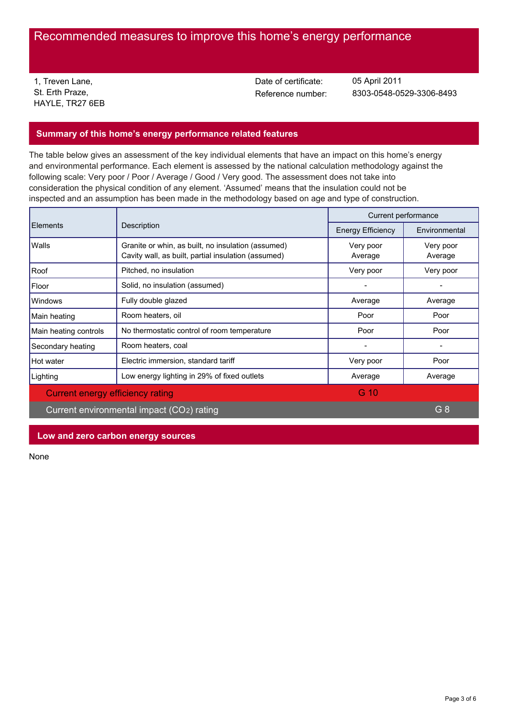# Recommended measures to improve this home's energy performance

1, Treven Lane, St. Erth Praze, HAYLE, TR27 6EB Date of certificate:

Reference number: 8303-0548-0529-3306-8493 05 April 2011

# **Summary of this home's energy performance related features**

The table below gives an assessment of the key individual elements that have an impact on this home's energy and environmental performance. Each element is assessed by the national calculation methodology against the following scale: Very poor / Poor / Average / Good / Very good. The assessment does not take into consideration the physical condition of any element. 'Assumed' means that the insulation could not be inspected and an assumption has been made in the methodology based on age and type of construction.

| Elements                         | Description                                                                                               | Current performance      |                      |
|----------------------------------|-----------------------------------------------------------------------------------------------------------|--------------------------|----------------------|
|                                  |                                                                                                           | <b>Energy Efficiency</b> | Environmental        |
| Walls                            | Granite or whin, as built, no insulation (assumed)<br>Cavity wall, as built, partial insulation (assumed) | Very poor<br>Average     | Very poor<br>Average |
| Roof                             | Pitched, no insulation                                                                                    | Very poor                | Very poor            |
| Floor                            | Solid, no insulation (assumed)                                                                            |                          |                      |
| Windows                          | Fully double glazed                                                                                       | Average                  | Average              |
| Main heating                     | Room heaters, oil                                                                                         | Poor                     | Poor                 |
| Main heating controls            | No thermostatic control of room temperature                                                               | Poor                     | Poor                 |
| Secondary heating                | Room heaters, coal                                                                                        |                          |                      |
| Hot water                        | Electric immersion, standard tariff                                                                       | Very poor                | Poor                 |
| Lighting                         | Low energy lighting in 29% of fixed outlets                                                               | Average                  | Average              |
| Current energy efficiency rating |                                                                                                           | G 10                     |                      |
|                                  | Current environmental impact (CO2) rating                                                                 |                          | G 8                  |

#### **Low and zero carbon energy sources**

None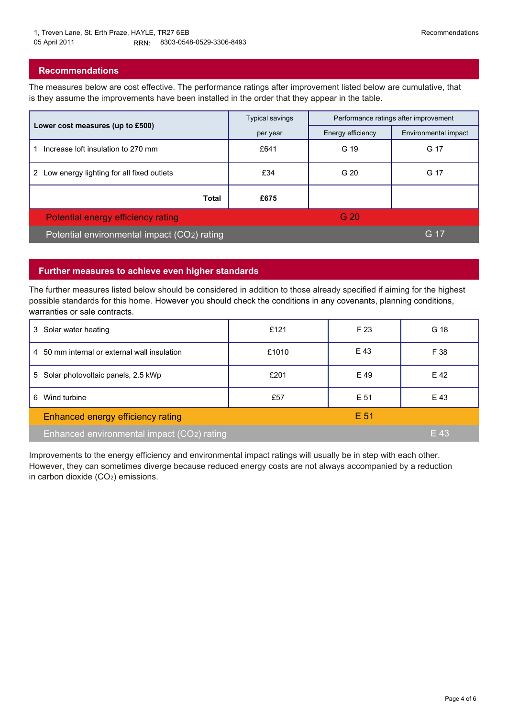## **Recommendations**

The measures below are cost effective. The performance ratings after improvement listed below are cumulative, that is they assume the improvements have been installed in the order that they appear in the table.

|                                             | <b>Typical savings</b> | Performance ratings after improvement |                      |
|---------------------------------------------|------------------------|---------------------------------------|----------------------|
| Lower cost measures (up to £500)            | per year               | Energy efficiency                     | Environmental impact |
| Increase loft insulation to 270 mm          | £641                   | G 19                                  | G 17                 |
| 2 Low energy lighting for all fixed outlets | £34                    | G 20                                  | G 17                 |
| <b>Total</b>                                | £675                   |                                       |                      |
| Potential energy efficiency rating          |                        | G <sub>20</sub>                       |                      |
| Potential environmental impact (CO2) rating |                        |                                       | G 17                 |

## **Further measures to achieve even higher standards**

The further measures listed below should be considered in addition to those already specified if aiming for the highest possible standards for this home. However you should check the conditions in any covenants, planning conditions, warranties or sale contracts.

| 3 Solar water heating                        | £121  | F 23 | G 18 |
|----------------------------------------------|-------|------|------|
| 4 50 mm internal or external wall insulation | £1010 | E 43 | F 38 |
| 5 Solar photovoltaic panels, 2.5 kWp         | £201  | E 49 | E 42 |
| 6 Wind turbine                               | £57   | E 51 | E 43 |
| Enhanced energy efficiency rating            |       | E 51 |      |
| Enhanced environmental impact (CO2) rating   |       |      | E 43 |

Improvements to the energy efficiency and environmental impact ratings will usually be in step with each other. However, they can sometimes diverge because reduced energy costs are not always accompanied by a reduction in carbon dioxide (CO2) emissions.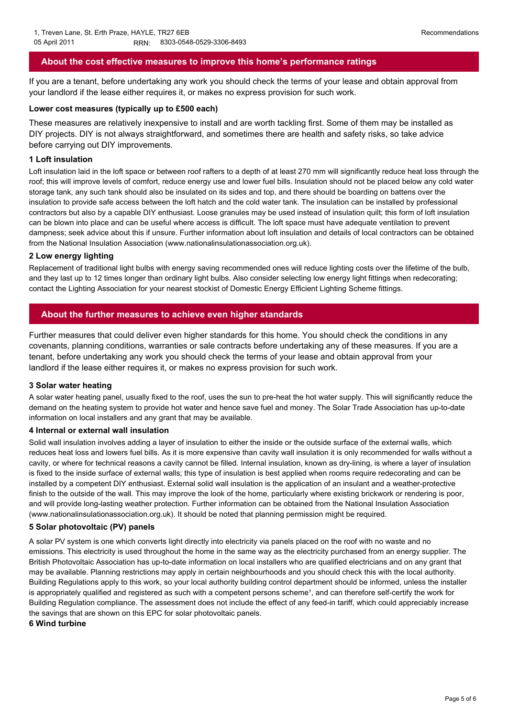# **About the cost effective measures to improve this home's performance ratings**

If you are a tenant, before undertaking any work you should check the terms of your lease and obtain approval from your landlord if the lease either requires it, or makes no express provision for such work.

#### **Lower cost measures (typically up to £500 each)**

These measures are relatively inexpensive to install and are worth tackling first. Some of them may be installed as DIY projects. DIY is not always straightforward, and sometimes there are health and safety risks, so take advice before carrying out DIY improvements.

#### **1 Loft insulation**

Loft insulation laid in the loft space or between roof rafters to a depth of at least 270 mm will significantly reduce heat loss through the roof; this will improve levels of comfort, reduce energy use and lower fuel bills. Insulation should not be placed below any cold water storage tank, any such tank should also be insulated on its sides and top, and there should be boarding on battens over the insulation to provide safe access between the loft hatch and the cold water tank. The insulation can be installed by professional contractors but also by a capable DIY enthusiast. Loose granules may be used instead of insulation quilt; this form of loft insulation can be blown into place and can be useful where access is difficult. The loft space must have adequate ventilation to prevent dampness; seek advice about this if unsure. Further information about loft insulation and details of local contractors can be obtained from the National Insulation Association (www.nationalinsulationassociation.org.uk).

#### **2 Low energy lighting**

Replacement of traditional light bulbs with energy saving recommended ones will reduce lighting costs over the lifetime of the bulb, and they last up to 12 times longer than ordinary light bulbs. Also consider selecting low energy light fittings when redecorating; contact the Lighting Association for your nearest stockist of Domestic Energy Efficient Lighting Scheme fittings.

#### **About the further measures to achieve even higher standards**

Further measures that could deliver even higher standards for this home. You should check the conditions in any covenants, planning conditions, warranties or sale contracts before undertaking any of these measures. If you are a tenant, before undertaking any work you should check the terms of your lease and obtain approval from your landlord if the lease either requires it, or makes no express provision for such work.

#### **3 Solar water heating**

A solar water heating panel, usually fixed to the roof, uses the sun to pre-heat the hot water supply. This will significantly reduce the demand on the heating system to provide hot water and hence save fuel and money. The Solar Trade Association has up-to-date information on local installers and any grant that may be available.

#### **4 Internal or external wall insulation**

Solid wall insulation involves adding a layer of insulation to either the inside or the outside surface of the external walls, which reduces heat loss and lowers fuel bills. As it is more expensive than cavity wall insulation it is only recommended for walls without a cavity, or where for technical reasons a cavity cannot be filled. Internal insulation, known as dry-lining, is where a layer of insulation is fixed to the inside surface of external walls; this type of insulation is best applied when rooms require redecorating and can be installed by a competent DIY enthusiast. External solid wall insulation is the application of an insulant and a weather-protective finish to the outside of the wall. This may improve the look of the home, particularly where existing brickwork or rendering is poor, and will provide long-lasting weather protection. Further information can be obtained from the National Insulation Association (www.nationalinsulationassociation.org.uk). It should be noted that planning permission might be required.

#### **5 Solar photovoltaic (PV) panels**

A solar PV system is one which converts light directly into electricity via panels placed on the roof with no waste and no emissions. This electricity is used throughout the home in the same way as the electricity purchased from an energy supplier. The British Photovoltaic Association has up-to-date information on local installers who are qualified electricians and on any grant that may be available. Planning restrictions may apply in certain neighbourhoods and you should check this with the local authority. Building Regulations apply to this work, so your local authority building control department should be informed, unless the installer is appropriately qualified and registered as such with a competent persons scheme<sup>1</sup>, and can therefore self-certify the work for Building Regulation compliance. The assessment does not include the effect of any feed-in tariff, which could appreciably increase the savings that are shown on this EPC for solar photovoltaic panels.

**6 Wind turbine**